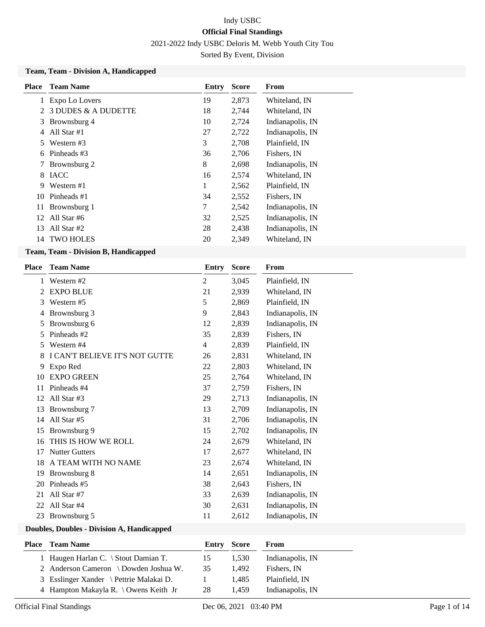2021-2022 Indy USBC Deloris M. Webb Youth City Tou

Sorted By Event, Division

#### **Team, Team - Division A, Handicapped**

| <b>Place</b> | <b>Team Name</b>    | Entry | <b>Score</b> | From             |
|--------------|---------------------|-------|--------------|------------------|
| 1            | Expo Lo Lovers      | 19    | 2,873        | Whiteland, IN    |
| 2            | 3 DUDES & A DUDETTE | 18    | 2,744        | Whiteland, IN    |
| 3            | Brownsburg 4        | 10    | 2,724        | Indianapolis, IN |
| 4            | All Star #1         | 27    | 2,722        | Indianapolis, IN |
| 5.           | Western #3          | 3     | 2,708        | Plainfield, IN   |
| 6            | Pinheads #3         | 36    | 2,706        | Fishers, IN      |
|              | Brownsburg 2        | 8     | 2,698        | Indianapolis, IN |
| 8            | <b>IACC</b>         | 16    | 2,574        | Whiteland, IN    |
| 9            | Western #1          | 1     | 2,562        | Plainfield, IN   |
| 10           | Pinheads #1         | 34    | 2,552        | Fishers, IN      |
| 11           | Brownsburg 1        | 7     | 2,542        | Indianapolis, IN |
| 12           | All Star #6         | 32    | 2,525        | Indianapolis, IN |
| 13           | All Star #2         | 28    | 2,438        | Indianapolis, IN |
| 14           | <b>TWO HOLES</b>    | 20    | 2,349        | Whiteland, IN    |

### **Team, Team - Division B, Handicapped**

| Place | <b>Team Name</b>               | Entry          | <b>Score</b> | From             |
|-------|--------------------------------|----------------|--------------|------------------|
| 1     | Western #2                     | 2              | 3,045        | Plainfield, IN   |
| 2     | <b>EXPO BLUE</b>               | 21             | 2,939        | Whiteland, IN    |
| 3     | Western #5                     | 5              | 2,869        | Plainfield, IN   |
| 4     | Brownsburg 3                   | 9              | 2,843        | Indianapolis, IN |
| 5     | Brownsburg 6                   | 12             | 2,839        | Indianapolis, IN |
| 5     | Pinheads #2                    | 35             | 2,839        | Fishers, IN      |
| 5     | Western #4                     | $\overline{4}$ | 2,839        | Plainfield, IN   |
| 8     | I CAN'T BELIEVE IT'S NOT GUTTE | 26             | 2,831        | Whiteland, IN    |
| 9     | Expo Red                       | 22             | 2,803        | Whiteland, IN    |
| 10    | <b>EXPO GREEN</b>              | 25             | 2,764        | Whiteland, IN    |
| 11    | Pinheads #4                    | 37             | 2,759        | Fishers, IN      |
| 12    | All Star $#3$                  | 29             | 2,713        | Indianapolis, IN |
| 13    | Brownsburg 7                   | 13             | 2,709        | Indianapolis, IN |
| 14    | All Star #5                    | 31             | 2,706        | Indianapolis, IN |
| 15    | Brownsburg 9                   | 15             | 2,702        | Indianapolis, IN |
| 16    | THIS IS HOW WE ROLL            | 24             | 2,679        | Whiteland, IN    |
| 17    | <b>Nutter Gutters</b>          | 17             | 2,677        | Whiteland, IN    |
| 18    | A TEAM WITH NO NAME            | 23             | 2,674        | Whiteland, IN    |
| 19    | Brownsburg 8                   | 14             | 2,651        | Indianapolis, IN |
| 20    | Pinheads #5                    | 38             | 2,643        | Fishers, IN      |
| 21    | All Star #7                    | 33             | 2,639        | Indianapolis, IN |
| 22    | All Star #4                    | 30             | 2,631        | Indianapolis, IN |
| 23    | Brownsburg 5                   | 11             | 2,612        | Indianapolis, IN |
|       |                                |                |              |                  |

### **Doubles, Doubles - Division A, Handicapped**

| Place | <b>Team Name</b>                        | Entry | <b>Score</b> | From             |
|-------|-----------------------------------------|-------|--------------|------------------|
|       | 1 Haugen Harlan C. \ Stout Damian T.    | 15    | 1.530        | Indianapolis, IN |
|       | 2 Anderson Cameron \ Dowden Joshua W.   | 35    | 1.492        | Fishers, IN      |
|       | 3 Esslinger Xander \ Pettrie Malakai D. |       | 1.485        | Plainfield, IN   |
|       | 4 Hampton Makayla R. \ Owens Keith Jr   | 28    | 1.459        | Indianapolis, IN |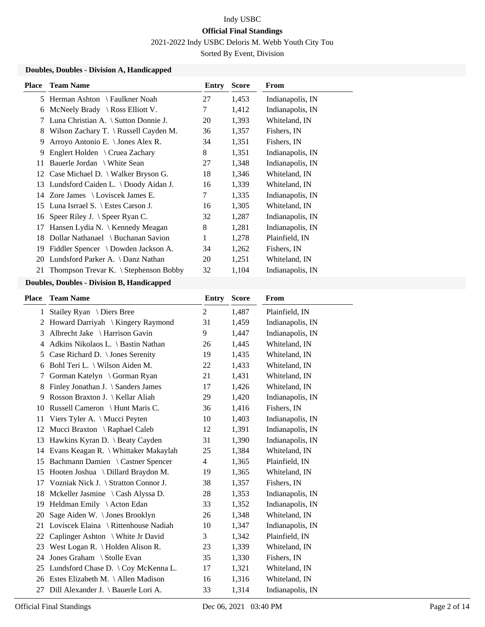2021-2022 Indy USBC Deloris M. Webb Youth City Tou

Sorted By Event, Division

## **Doubles, Doubles - Division A, Handicapped**

| <b>Place</b> | <b>Team Name</b>                                | Entry | <b>Score</b> | <b>From</b>      |
|--------------|-------------------------------------------------|-------|--------------|------------------|
| 5.           | Herman Ashton \ Faulkner Noah                   | 27    | 1,453        | Indianapolis, IN |
| 6            | McNeely Brady $\setminus$ Ross Elliott V.       | 7     | 1,412        | Indianapolis, IN |
| 7            | Luna Christian A. $\setminus$ Sutton Donnie J.  | 20    | 1,393        | Whiteland, IN    |
| 8            | Wilson Zachary T. $\lambda$ Russell Cayden M.   | 36    | 1,357        | Fishers, IN      |
| 9            | Arroyo Antonio E. \ Jones Alex R.               | 34    | 1,351        | Fishers, IN      |
| 9            | Englert Holden $\setminus$ Cruea Zachary        | 8     | 1,351        | Indianapolis, IN |
| 11           | Bauerle Jordan \ White Sean                     | 27    | 1,348        | Indianapolis, IN |
|              | 12 Case Michael D. \ Walker Bryson G.           | 18    | 1,346        | Whiteland, IN    |
|              | 13 Lundsford Caiden L. \ Doody Aidan J.         | 16    | 1,339        | Whiteland, IN    |
|              | 14 Zore James \ Loviscek James E.               | 7     | 1,335        | Indianapolis, IN |
|              | 15 Luna Isrrael S. \ Estes Carson J.            | 16    | 1,305        | Whiteland, IN    |
|              | 16 Speer Riley J. \ Speer Ryan C.               | 32    | 1,287        | Indianapolis, IN |
| 17           | Hansen Lydia N. \ Kennedy Meagan                | 8     | 1,281        | Indianapolis, IN |
| 18           | Dollar Nathanael \ Buchanan Savion              | 1     | 1,278        | Plainfield, IN   |
| 19           | Fiddler Spencer \ Dowden Jackson A.             | 34    | 1,262        | Fishers, IN      |
| 20           | Lundsford Parker A. \ Danz Nathan               | 20    | 1,251        | Whiteland, IN    |
| 21           | Thompson Trevar K. $\setminus$ Stephenson Bobby | 32    | 1,104        | Indianapolis, IN |

### **Doubles, Doubles - Division B, Handicapped**

| Place        | <b>Team Name</b>                           | <b>Entry</b>   | <b>Score</b> | From             |
|--------------|--------------------------------------------|----------------|--------------|------------------|
| $\mathbf{1}$ | Stailey Ryan \ Diers Bree                  | 2              | 1,487        | Plainfield, IN   |
| 2            | Howard Darriyah \ Kingery Raymond          | 31             | 1,459        | Indianapolis, IN |
| 3            | Albrecht Jake \ Harrison Gavin             | 9              | 1,447        | Indianapolis, IN |
| 4            | Adkins Nikolaos L. \ Bastin Nathan         | 26             | 1,445        | Whiteland, IN    |
| 5            | Case Richard D. \ Jones Serenity           | 19             | 1,435        | Whiteland, IN    |
| 6            | Bohl Teri L. \ Wilson Aiden M.             | 22             | 1,433        | Whiteland, IN    |
| 7            | Gorman Katelyn \ Gorman Ryan               | 21             | 1,431        | Whiteland, IN    |
| 8            | Finley Jonathan J. \ Sanders James         | 17             | 1,426        | Whiteland, IN    |
| 9            | Rosson Braxton J. \ Kellar Aliah           | 29             | 1,420        | Indianapolis, IN |
| 10           | Russell Cameron \ Hunt Maris C.            | 36             | 1,416        | Fishers, IN      |
| 11           | Viers Tyler A. \ Mucci Peyten              | 10             | 1,403        | Indianapolis, IN |
| 12           | Mucci Braxton \ Raphael Caleb              | 12             | 1,391        | Indianapolis, IN |
| 13           | Hawkins Kyran D. \ Beaty Cayden            | 31             | 1,390        | Indianapolis, IN |
| 14           | Evans Keagan R. \ Whittaker Makaylah       | 25             | 1,384        | Whiteland, IN    |
| 15           | Bachmann Damien \ Castner Spencer          | $\overline{4}$ | 1,365        | Plainfield, IN   |
| 15           | Hooten Joshua \ Dillard Braydon M.         | 19             | 1,365        | Whiteland, IN    |
| 17           | Vozniak Nick J. \ Stratton Connor J.       | 38             | 1,357        | Fishers, IN      |
| 18           | Mckeller Jasmine \ Cash Alyssa D.          | 28             | 1,353        | Indianapolis, IN |
| 19           | Heldman Emily \Acton Edan                  | 33             | 1,352        | Indianapolis, IN |
| 20           | Sage Aiden W. \ Jones Brooklyn             | 26             | 1,348        | Whiteland, IN    |
| 21           | Loviscek Elaina \ Rittenhouse Nadiah       | 10             | 1,347        | Indianapolis, IN |
| 22           | Caplinger Ashton \ White Jr David          | 3              | 1,342        | Plainfield, IN   |
| 23           | West Logan R. $\setminus$ Holden Alison R. | 23             | 1,339        | Whiteland, IN    |
| 24           | Jones Graham \ Stolle Evan                 | 35             | 1,330        | Fishers, IN      |
|              | 25 Lundsford Chase D. \ Coy McKenna L.     | 17             | 1,321        | Whiteland, IN    |
|              | 26 Estes Elizabeth M. \ Allen Madison      | 16             | 1,316        | Whiteland, IN    |
|              | 27 Dill Alexander J. \ Bauerle Lori A.     | 33             | 1,314        | Indianapolis, IN |
|              |                                            |                |              |                  |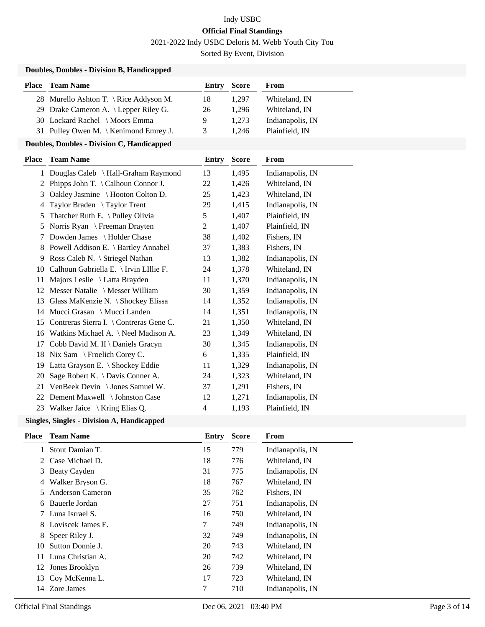2021-2022 Indy USBC Deloris M. Webb Youth City Tou

Sorted By Event, Division

## **Doubles, Doubles - Division B, Handicapped**

| Place | <b>Team Name</b>                                | Entry | Score | From             |
|-------|-------------------------------------------------|-------|-------|------------------|
|       | 28 Murello Ashton T. \ Rice Addyson M.          | 18    | 1.297 | Whiteland, IN    |
|       | 29 Drake Cameron A. \ Lepper Riley G.           | 26    | 1.296 | Whiteland, IN    |
|       | 30 Lockard Rachel \ Moors Emma                  | 9     | 1.273 | Indianapolis, IN |
|       | 31 Pulley Owen M. $\setminus$ Kenimond Emrey J. | 3     | 1.246 | Plainfield, IN   |

### **Doubles, Doubles - Division C, Handicapped**

| <b>Place</b> | <b>Team Name</b>                          | <b>Entry</b>   | <b>Score</b> | <b>From</b>      |
|--------------|-------------------------------------------|----------------|--------------|------------------|
| $\mathbf{1}$ | Douglas Caleb \ Hall-Graham Raymond       | 13             | 1,495        | Indianapolis, IN |
| 2            | Phipps John T. \ Calhoun Connor J.        | 22             | 1,426        | Whiteland, IN    |
| 3            | Oakley Jasmine \ Hooton Colton D.         | 25             | 1,423        | Whiteland, IN    |
| 4            | Taylor Braden \Taylor Trent               | 29             | 1,415        | Indianapolis, IN |
| 5            | Thatcher Ruth E. \ Pulley Olivia          | 5              | 1,407        | Plainfield, IN   |
| 5            | Norris Ryan \ Freeman Drayten             | $\overline{2}$ | 1,407        | Plainfield, IN   |
| 7            | Dowden James \ Holder Chase               | 38             | 1,402        | Fishers, IN      |
| 8            | Powell Addison E. \ Bartley Annabel       | 37             | 1,383        | Fishers, IN      |
| 9            | Ross Caleb N. \ Striegel Nathan           | 13             | 1,382        | Indianapolis, IN |
| 10           | Calhoun Gabriella E. \ Irvin LIllie F.    | 24             | 1,378        | Whiteland, IN    |
| 11           | Majors Leslie \ Latta Brayden             | 11             | 1,370        | Indianapolis, IN |
| 12           | Messer Natalie $\setminus$ Messer William | 30             | 1,359        | Indianapolis, IN |
| 13           | Glass MaKenzie N. \ Shockey Elissa        | 14             | 1,352        | Indianapolis, IN |
| 14           | Mucci Grasan \ Mucci Landen               | 14             | 1,351        | Indianapolis, IN |
| 15           | Contreras Sierra I. \ Contreras Gene C.   | 21             | 1,350        | Whiteland, IN    |
|              | 16 Watkins Michael A. \ Neel Madison A.   | 23             | 1,349        | Whiteland, IN    |
| 17           | Cobb David M. II \ Daniels Gracyn         | 30             | 1,345        | Indianapolis, IN |
| 18           | Nix Sam \ Froelich Corey C.               | 6              | 1,335        | Plainfield, IN   |
| 19           | Latta Grayson E. \ Shockey Eddie          | 11             | 1,329        | Indianapolis, IN |
| 20           | Sage Robert K. \ Davis Conner A.          | 24             | 1,323        | Whiteland, IN    |
| 21           | VenBeek Devin \ Jones Samuel W.           | 37             | 1,291        | Fishers, IN      |
| 22           | Dement Maxwell \ Johnston Case            | 12             | 1,271        | Indianapolis, IN |
| 23           | Walker Jaice $\setminus$ Kring Elias Q.   | 4              | 1,193        | Plainfield, IN   |
|              |                                           |                |              |                  |

### **Singles, Singles - Division A, Handicapped**

| <b>Place</b> | <b>Team Name</b>    | Entry | <b>Score</b> | From             |
|--------------|---------------------|-------|--------------|------------------|
| 1            | Stout Damian T.     | 15    | 779          | Indianapolis, IN |
| 2            | Case Michael D.     | 18    | 776          | Whiteland, IN    |
| 3            | <b>Beaty Cayden</b> | 31    | 775          | Indianapolis, IN |
| 4            | Walker Bryson G.    | 18    | 767          | Whiteland, IN    |
| 5.           | Anderson Cameron    | 35    | 762          | Fishers, IN      |
| 6            | Bauerle Jordan      | 27    | 751          | Indianapolis, IN |
|              | Luna Isrrael S.     | 16    | 750          | Whiteland, IN    |
| 8            | Loviscek James E.   | 7     | 749          | Indianapolis, IN |
| 8            | Speer Riley J.      | 32    | 749          | Indianapolis, IN |
| 10           | Sutton Donnie J.    | 20    | 743          | Whiteland, IN    |
| 11           | Luna Christian A.   | 20    | 742          | Whiteland, IN    |
|              | 12 Jones Brooklyn   | 26    | 739          | Whiteland, IN    |
| 13           | Coy McKenna L.      | 17    | 723          | Whiteland, IN    |
| 14           | Zore James          | 7     | 710          | Indianapolis, IN |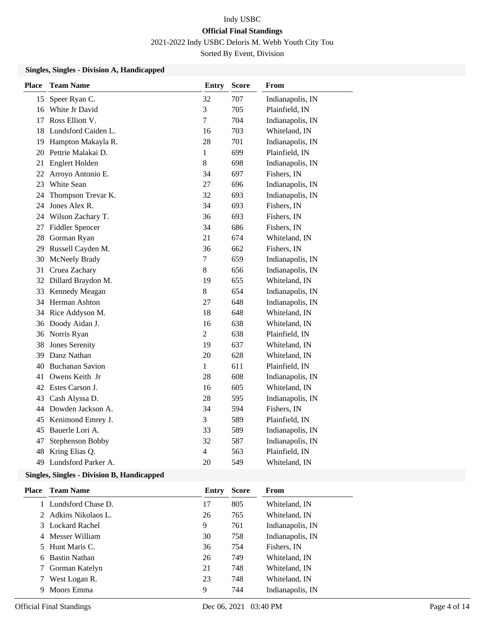2021-2022 Indy USBC Deloris M. Webb Youth City Tou

Sorted By Event, Division

### **Singles, Singles - Division A, Handicapped**

| <b>Place</b> | <b>Team Name</b>       | <b>Entry</b>     | <b>Score</b> | From             |
|--------------|------------------------|------------------|--------------|------------------|
| 15           | Speer Ryan C.          | 32               | 707          | Indianapolis, IN |
|              | 16 White Jr David      | 3                | 705          | Plainfield, IN   |
| 17           | Ross Elliott V.        | $\boldsymbol{7}$ | 704          | Indianapolis, IN |
| 18           | Lundsford Caiden L.    | 16               | 703          | Whiteland, IN    |
| 19           | Hampton Makayla R.     | 28               | 701          | Indianapolis, IN |
| 20           | Pettrie Malakai D.     | 1                | 699          | Plainfield, IN   |
| 21           | Englert Holden         | $8\,$            | 698          | Indianapolis, IN |
| 22           | Arroyo Antonio E.      | 34               | 697          | Fishers, IN      |
| 23           | White Sean             | 27               | 696          | Indianapolis, IN |
| 24           | Thompson Trevar K.     | 32               | 693          | Indianapolis, IN |
| 24           | Jones Alex R.          | 34               | 693          | Fishers, IN      |
| 24           | Wilson Zachary T.      | 36               | 693          | Fishers, IN      |
| 27           | <b>Fiddler Spencer</b> | 34               | 686          | Fishers, IN      |
| 28           | Gorman Ryan            | 21               | 674          | Whiteland, IN    |
| 29           | Russell Cayden M.      | 36               | 662          | Fishers, IN      |
| 30           | McNeely Brady          | $\boldsymbol{7}$ | 659          | Indianapolis, IN |
| 31           | Cruea Zachary          | 8                | 656          | Indianapolis, IN |
|              | 32 Dillard Braydon M.  | 19               | 655          | Whiteland, IN    |
| 33           | <b>Kennedy Meagan</b>  | $\,8\,$          | 654          | Indianapolis, IN |
|              | 34 Herman Ashton       | 27               | 648          | Indianapolis, IN |
|              | 34 Rice Addyson M.     | 18               | 648          | Whiteland, IN    |
|              | 36 Doody Aidan J.      | 16               | 638          | Whiteland, IN    |
|              | 36 Norris Ryan         | $\overline{2}$   | 638          | Plainfield, IN   |
| 38           | Jones Serenity         | 19               | 637          | Whiteland, IN    |
| 39           | Danz Nathan            | 20               | 628          | Whiteland, IN    |
|              | 40 Buchanan Savion     | 1                | 611          | Plainfield, IN   |
| 41           | Owens Keith Jr         | 28               | 608          | Indianapolis, IN |
|              | 42 Estes Carson J.     | 16               | 605          | Whiteland, IN    |
| 43           | Cash Alyssa D.         | 28               | 595          | Indianapolis, IN |
| 44           | Dowden Jackson A.      | 34               | 594          | Fishers, IN      |
| 45           | Kenimond Emrey J.      | 3                | 589          | Plainfield, IN   |
| 45           | Bauerle Lori A.        | 33               | 589          | Indianapolis, IN |
| 47           | Stephenson Bobby       | 32               | 587          | Indianapolis, IN |
| 48           | Kring Elias Q.         | $\overline{4}$   | 563          | Plainfield, IN   |
|              | 49 Lundsford Parker A. | 20               | 549          | Whiteland, IN    |

### **Singles, Singles - Division B, Handicapped**

| <b>Place</b> | <b>Team Name</b>     | Entry | <b>Score</b> | From             |
|--------------|----------------------|-------|--------------|------------------|
|              | Lundsford Chase D.   | 17    | 805          | Whiteland, IN    |
|              | 2 Adkins Nikolaos L. | 26    | 765          | Whiteland, IN    |
|              | 3 Lockard Rachel     | 9     | 761          | Indianapolis, IN |
|              | 4 Messer William     | 30    | 758          | Indianapolis, IN |
|              | 5 Hunt Maris C.      | 36    | 754          | Fishers, IN      |
| 6            | Bastin Nathan        | 26    | 749          | Whiteland, IN    |
|              | Gorman Katelyn       | 21    | 748          | Whiteland, IN    |
|              | West Logan R.        | 23    | 748          | Whiteland, IN    |
| 9            | Moors Emma           | 9     | 744          | Indianapolis, IN |
|              |                      |       |              |                  |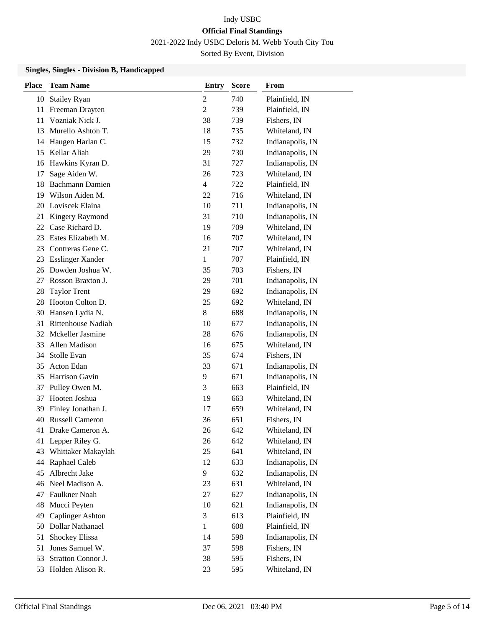2021-2022 Indy USBC Deloris M. Webb Youth City Tou

Sorted By Event, Division

### **Singles, Singles - Division B, Handicapped**

| <b>Place</b> | <b>Team Name</b>          | <b>Entry</b>   | <b>Score</b> | From             |
|--------------|---------------------------|----------------|--------------|------------------|
| 10           | <b>Stailey Ryan</b>       | $\overline{2}$ | 740          | Plainfield, IN   |
| 11           | Freeman Drayten           | $\overline{2}$ | 739          | Plainfield, IN   |
| 11           | Vozniak Nick J.           | 38             | 739          | Fishers, IN      |
| 13           | Murello Ashton T.         | 18             | 735          | Whiteland, IN    |
| 14           | Haugen Harlan C.          | 15             | 732          | Indianapolis, IN |
| 15           | Kellar Aliah              | 29             | 730          | Indianapolis, IN |
| 16           | Hawkins Kyran D.          | 31             | 727          | Indianapolis, IN |
| 17           | Sage Aiden W.             | 26             | 723          | Whiteland, IN    |
| 18           | <b>Bachmann Damien</b>    | $\overline{4}$ | 722          | Plainfield, IN   |
| 19           | Wilson Aiden M.           | 22             | 716          | Whiteland, IN    |
| 20           | Loviscek Elaina           | 10             | 711          | Indianapolis, IN |
| 21           | Kingery Raymond           | 31             | 710          | Indianapolis, IN |
| 22           | Case Richard D.           | 19             | 709          | Whiteland, IN    |
| 23           | Estes Elizabeth M.        | 16             | 707          | Whiteland, IN    |
| 23           | Contreras Gene C.         | 21             | 707          | Whiteland, IN    |
| 23           | <b>Esslinger Xander</b>   | 1              | 707          | Plainfield, IN   |
| 26           | Dowden Joshua W.          | 35             | 703          | Fishers, IN      |
| 27           | Rosson Braxton J.         | 29             | 701          | Indianapolis, IN |
| 28           | <b>Taylor Trent</b>       | 29             | 692          | Indianapolis, IN |
| 28           | Hooton Colton D.          | 25             | 692          | Whiteland, IN    |
| 30           | Hansen Lydia N.           | 8              | 688          | Indianapolis, IN |
| 31           | <b>Rittenhouse Nadiah</b> | 10             | 677          | Indianapolis, IN |
| 32           | Mckeller Jasmine          | 28             | 676          | Indianapolis, IN |
| 33           | Allen Madison             | 16             | 675          | Whiteland, IN    |
| 34           | Stolle Evan               | 35             | 674          | Fishers, IN      |
| 35           | Acton Edan                | 33             | 671          | Indianapolis, IN |
| 35           | Harrison Gavin            | 9              | 671          | Indianapolis, IN |
| 37           | Pulley Owen M.            | 3              | 663          | Plainfield, IN   |
| 37           | Hooten Joshua             | 19             | 663          | Whiteland, IN    |
| 39           | Finley Jonathan J.        | 17             | 659          | Whiteland, IN    |
| 40           | <b>Russell Cameron</b>    | 36             | 651          | Fishers, IN      |
| 41           | Drake Cameron A.          | 26             | 642          | Whiteland, IN    |
| 41           | Lepper Riley G.           | 26             | 642          | Whiteland, IN    |
| 43           | Whittaker Makaylah        | 25             | 641          | Whiteland, IN    |
| 44           | Raphael Caleb             | 12             | 633          | Indianapolis, IN |
| 45           | Albrecht Jake             | 9              | 632          | Indianapolis, IN |
| 46           | Neel Madison A.           | 23             | 631          | Whiteland, IN    |
| 47           | Faulkner Noah             | $27\,$         | 627          | Indianapolis, IN |
| 48           | Mucci Peyten              | 10             | 621          | Indianapolis, IN |
| 49           | <b>Caplinger Ashton</b>   | 3              | 613          | Plainfield, IN   |
| 50           | Dollar Nathanael          | $\mathbf{1}$   | 608          | Plainfield, IN   |
| 51           | Shockey Elissa            | 14             | 598          | Indianapolis, IN |
| 51           | Jones Samuel W.           | 37             | 598          | Fishers, IN      |
| 53           | Stratton Connor J.        | 38             | 595          | Fishers, IN      |
| 53           | Holden Alison R.          | 23             | 595          | Whiteland, IN    |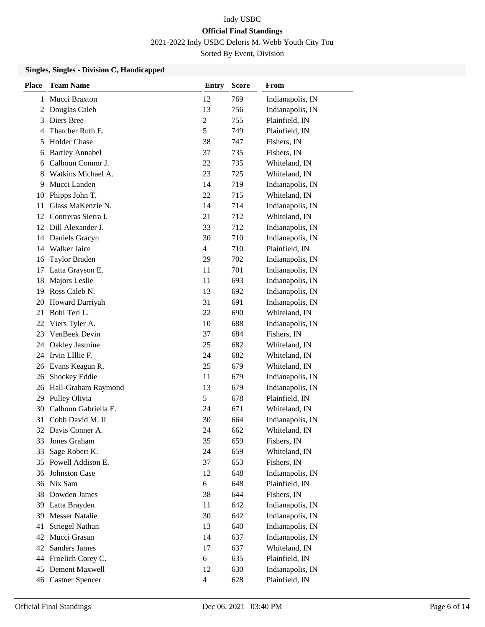2021-2022 Indy USBC Deloris M. Webb Youth City Tou

Sorted By Event, Division

## **Singles, Singles - Division C, Handicapped**

| <b>Place</b> | <b>Team Name</b>                       | <b>Entry</b>   | <b>Score</b> | From                               |
|--------------|----------------------------------------|----------------|--------------|------------------------------------|
| 1            | Mucci Braxton                          | 12             | 769          | Indianapolis, IN                   |
| 2            | Douglas Caleb                          | 13             | 756          | Indianapolis, IN                   |
| 3            | Diers Bree                             | $\overline{c}$ | 755          | Plainfield, IN                     |
| 4            | Thatcher Ruth E.                       | 5              | 749          | Plainfield, IN                     |
| 5            | <b>Holder Chase</b>                    | 38             | 747          | Fishers, IN                        |
| 6            | <b>Bartley Annabel</b>                 | 37             | 735          | Fishers, IN                        |
| 6            | Calhoun Connor J.                      | 22             | 735          | Whiteland, IN                      |
| 8            | Watkins Michael A.                     | 23             | 725          | Whiteland, IN                      |
| 9            | Mucci Landen                           | 14             | 719          | Indianapolis, IN                   |
| 10           | Phipps John T.                         | 22             | 715          | Whiteland, IN                      |
| 11           | Glass MaKenzie N.                      | 14             | 714          | Indianapolis, IN                   |
| 12           | Contreras Sierra I.                    | 21             | 712          | Whiteland, IN                      |
| 12           | Dill Alexander J.                      | 33             | 712          | Indianapolis, IN                   |
| 14           | Daniels Gracyn                         | 30             | 710          | Indianapolis, IN                   |
| 14           | Walker Jaice                           | $\overline{4}$ | 710          | Plainfield, IN                     |
| 16           | <b>Taylor Braden</b>                   | 29             | 702          | Indianapolis, IN                   |
| 17           | Latta Grayson E.                       | 11             | 701          | Indianapolis, IN                   |
| 18           | Majors Leslie                          | 11             | 693          | Indianapolis, IN                   |
| 19           | Ross Caleb N.                          | 13             | 692          | Indianapolis, IN                   |
| 20           | Howard Darriyah                        | 31             | 691          | Indianapolis, IN                   |
| 21           | Bohl Teri L.                           | 22             | 690          | Whiteland, IN                      |
| 22           | Viers Tyler A.                         | 10             | 688          | Indianapolis, IN                   |
| 23           | VenBeek Devin                          | 37             | 684          | Fishers, IN                        |
| 24           | Oakley Jasmine                         | 25             | 682          | Whiteland, IN                      |
| 24           | Irvin LIllie F.                        | 24             | 682          | Whiteland, IN                      |
| 26           | Evans Keagan R.                        | 25             | 679          | Whiteland, IN                      |
| 26           | Shockey Eddie                          | 11             | 679          | Indianapolis, IN                   |
| 26           | Hall-Graham Raymond                    | 13             | 679          | Indianapolis, IN                   |
| 29           | Pulley Olivia                          | 5              | 678          | Plainfield, IN                     |
| 30           | Calhoun Gabriella E.                   | 24             | 671          | Whiteland, IN                      |
| 31           | Cobb David M. II                       | 30             | 664          | Indianapolis, IN                   |
| 32           | Davis Conner A.                        | 24             | 662          | Whiteland, IN                      |
| 33           | Jones Graham                           | 35             | 659          | Fishers, IN                        |
| 33           | Sage Robert K.                         | 24             | 659          | Whiteland, IN                      |
|              | 35 Powell Addison E.                   | 37             | 653          | Fishers, IN                        |
| 36           | Johnston Case                          | 12             | 648          | Indianapolis, IN                   |
|              | 36 Nix Sam                             | 6              | 648          | Plainfield, IN                     |
| 38           | Dowden James                           | 38             | 644          | Fishers, IN                        |
| 39           | Latta Brayden                          | 11             | 642          | Indianapolis, IN                   |
| 39           | <b>Messer Natalie</b>                  | 30             | 642          | Indianapolis, IN                   |
| 41           | <b>Striegel Nathan</b><br>Mucci Grasan | 13             | 640          | Indianapolis, IN                   |
| 42           |                                        | 14             | 637          | Indianapolis, IN                   |
| 42           | Sanders James                          | 17             | 637          | Whiteland, IN                      |
| 44<br>45     | Froelich Corey C.<br>Dement Maxwell    | 6<br>12        | 635<br>630   | Plainfield, IN<br>Indianapolis, IN |
|              |                                        | 4              |              |                                    |
|              | 46 Castner Spencer                     |                | 628          | Plainfield, IN                     |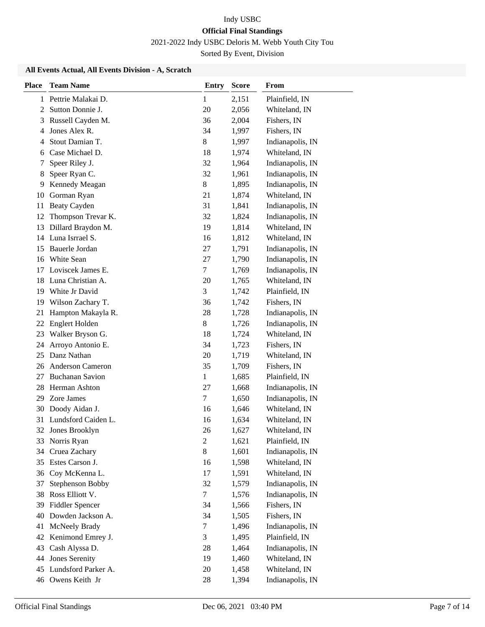2021-2022 Indy USBC Deloris M. Webb Youth City Tou

Sorted By Event, Division

## **All Events Actual, All Events Division - A, Scratch**

| <b>Place</b> | <b>Team Name</b>       | <b>Entry</b>     | <b>Score</b> | From             |
|--------------|------------------------|------------------|--------------|------------------|
| 1            | Pettrie Malakai D.     | $\mathbf{1}$     | 2,151        | Plainfield, IN   |
| 2            | Sutton Donnie J.       | 20               | 2,056        | Whiteland, IN    |
| 3            | Russell Cayden M.      | 36               | 2,004        | Fishers, IN      |
| 4            | Jones Alex R.          | 34               | 1,997        | Fishers, IN      |
| 4            | Stout Damian T.        | 8                | 1,997        | Indianapolis, IN |
| 6            | Case Michael D.        | 18               | 1,974        | Whiteland, IN    |
| 7            | Speer Riley J.         | 32               | 1,964        | Indianapolis, IN |
| 8            | Speer Ryan C.          | 32               | 1,961        | Indianapolis, IN |
| 9            | Kennedy Meagan         | $8\,$            | 1,895        | Indianapolis, IN |
| 10           | Gorman Ryan            | 21               | 1,874        | Whiteland, IN    |
| 11           | Beaty Cayden           | 31               | 1,841        | Indianapolis, IN |
| 12           | Thompson Trevar K.     | 32               | 1,824        | Indianapolis, IN |
| 13           | Dillard Braydon M.     | 19               | 1,814        | Whiteland, IN    |
| 14           | Luna Isrrael S.        | 16               | 1,812        | Whiteland, IN    |
| 15           | Bauerle Jordan         | 27               | 1,791        | Indianapolis, IN |
| 16           | White Sean             | 27               | 1,790        | Indianapolis, IN |
| 17           | Loviscek James E.      | $\tau$           | 1,769        | Indianapolis, IN |
| 18           | Luna Christian A.      | 20               | 1,765        | Whiteland, IN    |
| 19           | White Jr David         | 3                | 1,742        | Plainfield, IN   |
| 19           | Wilson Zachary T.      | 36               | 1,742        | Fishers, IN      |
| 21           | Hampton Makayla R.     | 28               | 1,728        | Indianapolis, IN |
| 22           | <b>Englert Holden</b>  | $8\,$            | 1,726        | Indianapolis, IN |
| 23           | Walker Bryson G.       | 18               | 1,724        | Whiteland, IN    |
| 24           | Arroyo Antonio E.      | 34               | 1,723        | Fishers, IN      |
| 25           | Danz Nathan            | 20               | 1,719        | Whiteland, IN    |
| 26           | Anderson Cameron       | 35               | 1,709        | Fishers, IN      |
| 27           | <b>Buchanan Savion</b> | $\mathbf{1}$     | 1,685        | Plainfield, IN   |
| 28           | Herman Ashton          | 27               | 1,668        | Indianapolis, IN |
| 29           | Zore James             | $\tau$           | 1,650        | Indianapolis, IN |
| 30           | Doody Aidan J.         | 16               | 1,646        | Whiteland, IN    |
| 31           | Lundsford Caiden L.    | 16               | 1,634        | Whiteland, IN    |
| 32           | Jones Brooklyn         | 26               | 1,627        | Whiteland, IN    |
|              | 33 Norris Ryan         | $\overline{c}$   | 1,621        | Plainfield, IN   |
| 34           | Cruea Zachary          | 8                | 1,601        | Indianapolis, IN |
| 35           | Estes Carson J.        | 16               | 1,598        | Whiteland, IN    |
| 36           | Coy McKenna L.         | 17               | 1,591        | Whiteland, IN    |
| 37           | Stephenson Bobby       | 32               | 1,579        | Indianapolis, IN |
| 38           | Ross Elliott V.        | $\boldsymbol{7}$ | 1,576        | Indianapolis, IN |
| 39           | <b>Fiddler Spencer</b> | 34               | 1,566        | Fishers, IN      |
| 40           | Dowden Jackson A.      | 34               | 1,505        | Fishers, IN      |
| 41           | McNeely Brady          | $\tau$           | 1,496        | Indianapolis, IN |
| 42           | Kenimond Emrey J.      | $\mathfrak{Z}$   | 1,495        | Plainfield, IN   |
| 43           | Cash Alyssa D.         | 28               | 1,464        | Indianapolis, IN |
| 44           | Jones Serenity         | 19               | 1,460        | Whiteland, IN    |
| 45           | Lundsford Parker A.    | 20               | 1,458        | Whiteland, IN    |
| 46           | Owens Keith Jr         | 28               | 1,394        | Indianapolis, IN |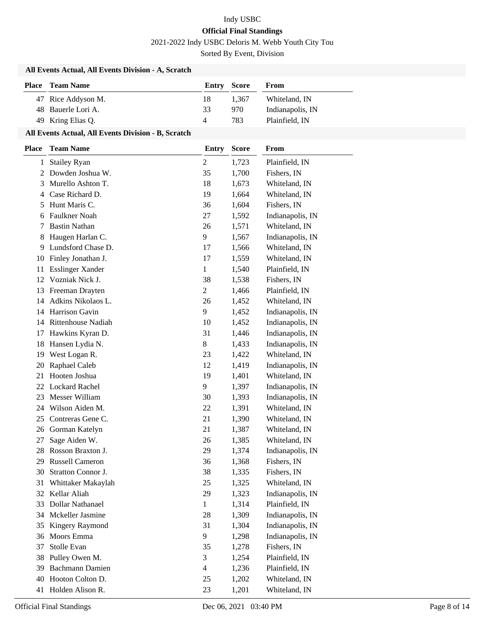2021-2022 Indy USBC Deloris M. Webb Youth City Tou

Sorted By Event, Division

## **All Events Actual, All Events Division - A, Scratch**

| <b>Place</b> | Team Name          | Entry | Score | From             |
|--------------|--------------------|-------|-------|------------------|
|              | 47 Rice Addyson M. | 18    | 1.367 | Whiteland, IN    |
|              | 48 Bauerle Lori A. | 33    | 970   | Indianapolis, IN |
|              | 49 Kring Elias Q.  | 4     | 783   | Plainfield. IN   |

#### **All Events Actual, All Events Division - B, Scratch**

| <b>Place</b>   | <b>Team Name</b>          | <b>Entry</b>   | <b>Score</b> | <b>From</b>      |
|----------------|---------------------------|----------------|--------------|------------------|
| 1              | <b>Stailey Ryan</b>       | $\overline{2}$ | 1,723        | Plainfield, IN   |
| $\overline{2}$ | Dowden Joshua W.          | 35             | 1,700        | Fishers, IN      |
| 3              | Murello Ashton T.         | 18             | 1,673        | Whiteland, IN    |
| 4              | Case Richard D.           | 19             | 1,664        | Whiteland, IN    |
| 5              | Hunt Maris C.             | 36             | 1,604        | Fishers, IN      |
| 6              | Faulkner Noah             | 27             | 1,592        | Indianapolis, IN |
| 7              | <b>Bastin Nathan</b>      | 26             | 1,571        | Whiteland, IN    |
| 8              | Haugen Harlan C.          | 9              | 1,567        | Indianapolis, IN |
| 9              | Lundsford Chase D.        | 17             | 1,566        | Whiteland, IN    |
| 10             | Finley Jonathan J.        | 17             | 1,559        | Whiteland, IN    |
| 11             | <b>Esslinger Xander</b>   | $\mathbf{1}$   | 1,540        | Plainfield, IN   |
| 12             | Vozniak Nick J.           | 38             | 1,538        | Fishers, IN      |
| 13             | Freeman Drayten           | $\overline{2}$ | 1,466        | Plainfield, IN   |
| 14             | Adkins Nikolaos L.        | 26             | 1,452        | Whiteland, IN    |
| 14             | Harrison Gavin            | 9              | 1,452        | Indianapolis, IN |
| 14             | <b>Rittenhouse Nadiah</b> | 10             | 1,452        | Indianapolis, IN |
| 17             | Hawkins Kyran D.          | 31             | 1,446        | Indianapolis, IN |
| 18             | Hansen Lydia N.           | 8              | 1,433        | Indianapolis, IN |
| 19             | West Logan R.             | 23             | 1,422        | Whiteland, IN    |
| 20             | Raphael Caleb             | 12             | 1,419        | Indianapolis, IN |
| 21             | Hooten Joshua             | 19             | 1,401        | Whiteland, IN    |
| 22             | <b>Lockard Rachel</b>     | 9              | 1,397        | Indianapolis, IN |
| 23             | Messer William            | 30             | 1,393        | Indianapolis, IN |
| 24             | Wilson Aiden M.           | 22             | 1,391        | Whiteland, IN    |
| 25             | Contreras Gene C.         | 21             | 1,390        | Whiteland, IN    |
| 26             | Gorman Katelyn            | 21             | 1,387        | Whiteland, IN    |
| 27             | Sage Aiden W.             | 26             | 1,385        | Whiteland, IN    |
| 28             | Rosson Braxton J.         | 29             | 1,374        | Indianapolis, IN |
| 29             | <b>Russell Cameron</b>    | 36             | 1,368        | Fishers, IN      |
| 30             | Stratton Connor J.        | 38             | 1,335        | Fishers, IN      |
| 31             | Whittaker Makaylah        | 25             | 1,325        | Whiteland, IN    |
| 32             | Kellar Aliah              | 29             | 1,323        | Indianapolis, IN |
| 33             | Dollar Nathanael          | $\mathbf{1}$   | 1,314        | Plainfield, IN   |
| 34             | Mckeller Jasmine          | 28             | 1,309        | Indianapolis, IN |
| 35             | Kingery Raymond           | 31             | 1,304        | Indianapolis, IN |
| 36             | Moors Emma                | 9              | 1,298        | Indianapolis, IN |
| 37             | Stolle Evan               | 35             | 1,278        | Fishers, IN      |
| 38             | Pulley Owen M.            | 3              | 1,254        | Plainfield, IN   |
| 39             | <b>Bachmann Damien</b>    | 4              | 1,236        | Plainfield, IN   |
| 40             | Hooton Colton D.          | 25             | 1,202        | Whiteland, IN    |
| 41             | Holden Alison R.          | 23             | 1,201        | Whiteland, IN    |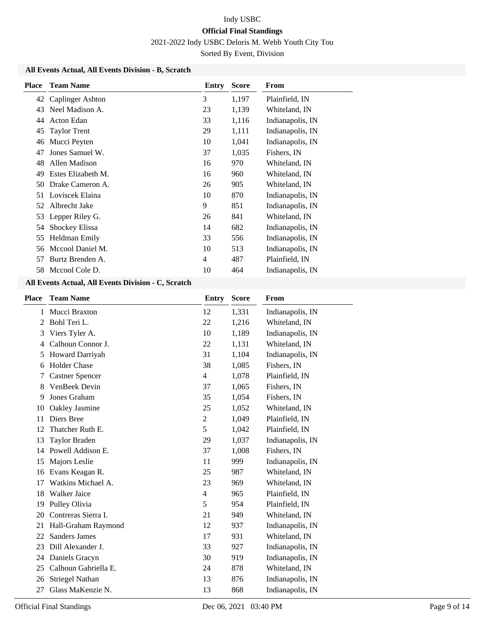2021-2022 Indy USBC Deloris M. Webb Youth City Tou

Sorted By Event, Division

## **All Events Actual, All Events Division - B, Scratch**

| <b>Place</b> | <b>Team Name</b>    | Entry | <b>Score</b> | From             |
|--------------|---------------------|-------|--------------|------------------|
| 42           | Caplinger Ashton    | 3     | 1,197        | Plainfield, IN   |
| 43           | Neel Madison A.     | 23    | 1,139        | Whiteland, IN    |
| 44           | Acton Edan          | 33    | 1,116        | Indianapolis, IN |
| 45           | <b>Taylor Trent</b> | 29    | 1,111        | Indianapolis, IN |
| 46           | Mucci Peyten        | 10    | 1,041        | Indianapolis, IN |
| 47           | Jones Samuel W.     | 37    | 1,035        | Fishers, IN      |
| 48           | Allen Madison       | 16    | 970          | Whiteland, IN    |
| 49           | Estes Elizabeth M.  | 16    | 960          | Whiteland, IN    |
| 50           | Drake Cameron A.    | 26    | 905          | Whiteland, IN    |
| 51           | Loviscek Elaina     | 10    | 870          | Indianapolis, IN |
| 52           | Albrecht Jake       | 9     | 851          | Indianapolis, IN |
| 53           | Lepper Riley G.     | 26    | 841          | Whiteland, IN    |
| 54           | Shockey Elissa      | 14    | 682          | Indianapolis, IN |
| 55           | Heldman Emily       | 33    | 556          | Indianapolis, IN |
| 56           | Mccool Daniel M.    | 10    | 513          | Indianapolis, IN |
| 57           | Burtz Brenden A.    | 4     | 487          | Plainfield, IN   |
|              | 58 Mccool Cole D.   | 10    | 464          | Indianapolis, IN |

### **All Events Actual, All Events Division - C, Scratch**

| <b>Place</b>   | <b>Team Name</b>       | <b>Entry</b>   | <b>Score</b> | From             |
|----------------|------------------------|----------------|--------------|------------------|
| 1              | Mucci Braxton          | 12             | 1,331        | Indianapolis, IN |
| $\overline{c}$ | Bohl Teri L.           | 22             | 1,216        | Whiteland, IN    |
| 3              | Viers Tyler A.         | 10             | 1,189        | Indianapolis, IN |
| 4              | Calhoun Connor J.      | 22             | 1,131        | Whiteland, IN    |
| 5              | Howard Darriyah        | 31             | 1,104        | Indianapolis, IN |
| 6              | <b>Holder Chase</b>    | 38             | 1,085        | Fishers, IN      |
| 7              | <b>Castner Spencer</b> | $\overline{4}$ | 1,078        | Plainfield, IN   |
| 8              | VenBeek Devin          | 37             | 1,065        | Fishers, IN      |
| 9              | Jones Graham           | 35             | 1,054        | Fishers, IN      |
| 10             | Oakley Jasmine         | 25             | 1,052        | Whiteland, IN    |
| 11             | Diers Bree             | 2              | 1,049        | Plainfield, IN   |
| 12             | Thatcher Ruth E.       | 5              | 1,042        | Plainfield, IN   |
| 13             | <b>Taylor Braden</b>   | 29             | 1,037        | Indianapolis, IN |
| 14             | Powell Addison E.      | 37             | 1,008        | Fishers, IN      |
| 15             | Majors Leslie          | 11             | 999          | Indianapolis, IN |
| 16             | Evans Keagan R.        | 25             | 987          | Whiteland, IN    |
| 17             | Watkins Michael A.     | 23             | 969          | Whiteland, IN    |
| 18             | <b>Walker Jaice</b>    | $\overline{4}$ | 965          | Plainfield, IN   |
| 19             | Pulley Olivia          | 5              | 954          | Plainfield, IN   |
| 20             | Contreras Sierra I.    | 21             | 949          | Whiteland, IN    |
| 21             | Hall-Graham Raymond    | 12             | 937          | Indianapolis, IN |
| 22             | <b>Sanders James</b>   | 17             | 931          | Whiteland, IN    |
| 23             | Dill Alexander J.      | 33             | 927          | Indianapolis, IN |
| 24             | Daniels Gracyn         | 30             | 919          | Indianapolis, IN |
| 25             | Calhoun Gabriella E.   | 24             | 878          | Whiteland, IN    |
| 26             | <b>Striegel Nathan</b> | 13             | 876          | Indianapolis, IN |
| 27             | Glass MaKenzie N.      | 13             | 868          | Indianapolis, IN |
|                |                        |                |              |                  |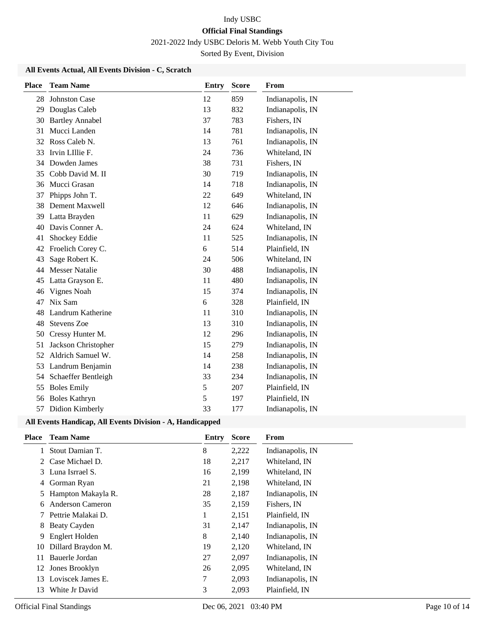2021-2022 Indy USBC Deloris M. Webb Youth City Tou

Sorted By Event, Division

## **All Events Actual, All Events Division - C, Scratch**

| <b>Place</b> | <b>Team Name</b>       | <b>Entry</b> | <b>Score</b> | <b>From</b>      |
|--------------|------------------------|--------------|--------------|------------------|
| 28           | <b>Johnston Case</b>   | 12           | 859          | Indianapolis, IN |
| 29           | Douglas Caleb          | 13           | 832          | Indianapolis, IN |
| 30           | <b>Bartley Annabel</b> | 37           | 783          | Fishers, IN      |
| 31           | Mucci Landen           | 14           | 781          | Indianapolis, IN |
| 32           | Ross Caleb N.          | 13           | 761          | Indianapolis, IN |
| 33           | Irvin LIllie F.        | 24           | 736          | Whiteland, IN    |
| 34           | Dowden James           | 38           | 731          | Fishers, IN      |
| 35           | Cobb David M. II       | 30           | 719          | Indianapolis, IN |
| 36           | Mucci Grasan           | 14           | 718          | Indianapolis, IN |
| 37           | Phipps John T.         | 22           | 649          | Whiteland, IN    |
| 38           | Dement Maxwell         | 12           | 646          | Indianapolis, IN |
| 39           | Latta Brayden          | 11           | 629          | Indianapolis, IN |
| 40           | Davis Conner A.        | 24           | 624          | Whiteland, IN    |
| 41           | Shockey Eddie          | 11           | 525          | Indianapolis, IN |
| 42           | Froelich Corey C.      | 6            | 514          | Plainfield, IN   |
| 43           | Sage Robert K.         | 24           | 506          | Whiteland, IN    |
| 44           | <b>Messer Natalie</b>  | 30           | 488          | Indianapolis, IN |
| 45           | Latta Grayson E.       | 11           | 480          | Indianapolis, IN |
| 46           | Vignes Noah            | 15           | 374          | Indianapolis, IN |
| 47           | Nix Sam                | 6            | 328          | Plainfield, IN   |
| 48           | Landrum Katherine      | 11           | 310          | Indianapolis, IN |
| 48           | <b>Stevens Zoe</b>     | 13           | 310          | Indianapolis, IN |
| 50           | Cressy Hunter M.       | 12           | 296          | Indianapolis, IN |
| 51           | Jackson Christopher    | 15           | 279          | Indianapolis, IN |
| 52           | Aldrich Samuel W.      | 14           | 258          | Indianapolis, IN |
| 53           | Landrum Benjamin       | 14           | 238          | Indianapolis, IN |
| 54           | Schaeffer Bentleigh    | 33           | 234          | Indianapolis, IN |
| 55           | <b>Boles Emily</b>     | 5            | 207          | Plainfield, IN   |
| 56           | <b>Boles Kathryn</b>   | 5            | 197          | Plainfield, IN   |
| 57           | Didion Kimberly        | 33           | 177          | Indianapolis, IN |

#### **All Events Handicap, All Events Division - A, Handicapped**

| <b>Place</b> | <b>Team Name</b>   | Entry | <b>Score</b> | From             |
|--------------|--------------------|-------|--------------|------------------|
| 1            | Stout Damian T.    | 8     | 2,222        | Indianapolis, IN |
| 2            | Case Michael D.    | 18    | 2,217        | Whiteland, IN    |
| 3            | Luna Isrrael S.    | 16    | 2,199        | Whiteland, IN    |
| 4            | Gorman Ryan        | 21    | 2,198        | Whiteland, IN    |
| 5            | Hampton Makayla R. | 28    | 2,187        | Indianapolis, IN |
| 6            | Anderson Cameron   | 35    | 2,159        | Fishers, IN      |
|              | Pettrie Malakai D. | 1     | 2,151        | Plainfield, IN   |
| 8            | Beaty Cayden       | 31    | 2,147        | Indianapolis, IN |
| 9            | Englert Holden     | 8     | 2,140        | Indianapolis, IN |
| 10           | Dillard Braydon M. | 19    | 2,120        | Whiteland, IN    |
| 11           | Bauerle Jordan     | 27    | 2,097        | Indianapolis, IN |
| 12           | Jones Brooklyn     | 26    | 2,095        | Whiteland, IN    |
| 13           | Loviscek James E.  | 7     | 2,093        | Indianapolis, IN |
| 13           | White Jr David     | 3     | 2,093        | Plainfield, IN   |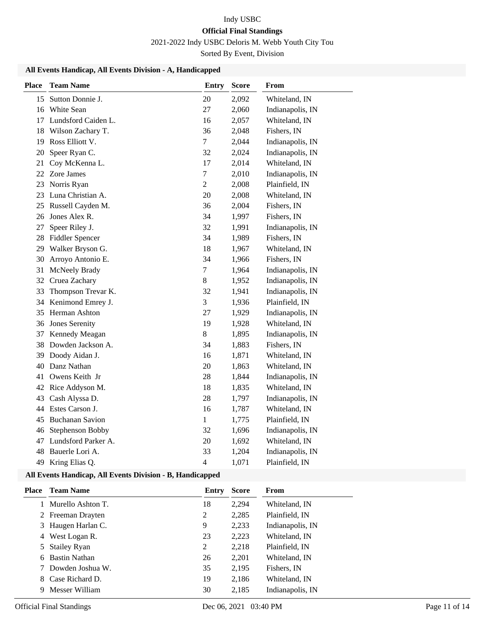2021-2022 Indy USBC Deloris M. Webb Youth City Tou

Sorted By Event, Division

## **All Events Handicap, All Events Division - A, Handicapped**

| <b>Place</b> | <b>Team Name</b>       | <b>Entry</b>     | <b>Score</b> | From             |
|--------------|------------------------|------------------|--------------|------------------|
| 15           | Sutton Donnie J.       | 20               | 2,092        | Whiteland, IN    |
| 16           | White Sean             | 27               | 2,060        | Indianapolis, IN |
| 17           | Lundsford Caiden L.    | 16               | 2,057        | Whiteland, IN    |
| 18           | Wilson Zachary T.      | 36               | 2,048        | Fishers, IN      |
| 19           | Ross Elliott V.        | $\tau$           | 2,044        | Indianapolis, IN |
| 20           | Speer Ryan C.          | 32               | 2,024        | Indianapolis, IN |
| 21           | Coy McKenna L.         | 17               | 2,014        | Whiteland, IN    |
|              | 22 Zore James          | $\boldsymbol{7}$ | 2,010        | Indianapolis, IN |
| 23           | Norris Ryan            | $\overline{2}$   | 2,008        | Plainfield, IN   |
| 23           | Luna Christian A.      | 20               | 2,008        | Whiteland, IN    |
| 25           | Russell Cayden M.      | 36               | 2,004        | Fishers, IN      |
| 26           | Jones Alex R.          | 34               | 1,997        | Fishers, IN      |
| 27           | Speer Riley J.         | 32               | 1,991        | Indianapolis, IN |
| 28           | <b>Fiddler Spencer</b> | 34               | 1,989        | Fishers, IN      |
| 29           | Walker Bryson G.       | 18               | 1,967        | Whiteland, IN    |
| 30           | Arroyo Antonio E.      | 34               | 1,966        | Fishers, IN      |
| 31           | McNeely Brady          | $\boldsymbol{7}$ | 1,964        | Indianapolis, IN |
| 32           | Cruea Zachary          | $8\,$            | 1,952        | Indianapolis, IN |
| 33           | Thompson Trevar K.     | 32               | 1,941        | Indianapolis, IN |
| 34           | Kenimond Emrey J.      | 3                | 1,936        | Plainfield, IN   |
| 35           | Herman Ashton          | 27               | 1,929        | Indianapolis, IN |
| 36           | Jones Serenity         | 19               | 1,928        | Whiteland, IN    |
| 37           | Kennedy Meagan         | $8\,$            | 1,895        | Indianapolis, IN |
| 38           | Dowden Jackson A.      | 34               | 1,883        | Fishers, IN      |
| 39           | Doody Aidan J.         | 16               | 1,871        | Whiteland, IN    |
| 40           | Danz Nathan            | 20               | 1,863        | Whiteland, IN    |
| 41           | Owens Keith Jr         | 28               | 1,844        | Indianapolis, IN |
|              | 42 Rice Addyson M.     | 18               | 1,835        | Whiteland, IN    |
| 43           | Cash Alyssa D.         | 28               | 1,797        | Indianapolis, IN |
|              | 44 Estes Carson J.     | 16               | 1,787        | Whiteland, IN    |
|              | 45 Buchanan Savion     | $\mathbf{1}$     | 1,775        | Plainfield, IN   |
| 46           | Stephenson Bobby       | 32               | 1,696        | Indianapolis, IN |
| 47           | Lundsford Parker A.    | 20               | 1,692        | Whiteland, IN    |
| 48           | Bauerle Lori A.        | 33               | 1,204        | Indianapolis, IN |
| 49           | Kring Elias Q.         | $\overline{4}$   | 1,071        | Plainfield, IN   |

### **All Events Handicap, All Events Division - B, Handicapped**

|                     | Entry                                                                                                                                           | <b>Score</b> | From             |
|---------------------|-------------------------------------------------------------------------------------------------------------------------------------------------|--------------|------------------|
|                     | 18                                                                                                                                              | 2,294        | Whiteland, IN    |
|                     | 2                                                                                                                                               | 2,285        | Plainfield, IN   |
|                     | 9                                                                                                                                               | 2,233        | Indianapolis, IN |
|                     | 23                                                                                                                                              | 2,223        | Whiteland, IN    |
| <b>Stailey Ryan</b> | $\overline{2}$                                                                                                                                  | 2,218        | Plainfield, IN   |
|                     | 26                                                                                                                                              | 2,201        | Whiteland, IN    |
|                     | 35                                                                                                                                              | 2,195        | Fishers, IN      |
| Case Richard D.     | 19                                                                                                                                              | 2,186        | Whiteland, IN    |
| Messer William      | 30                                                                                                                                              | 2,185        | Indianapolis, IN |
|                     | <b>Team Name</b><br>1 Murello Ashton T.<br>2 Freeman Drayten<br>3 Haugen Harlan C.<br>West Logan R.<br>5<br>Bastin Nathan<br>7 Dowden Joshua W. |              |                  |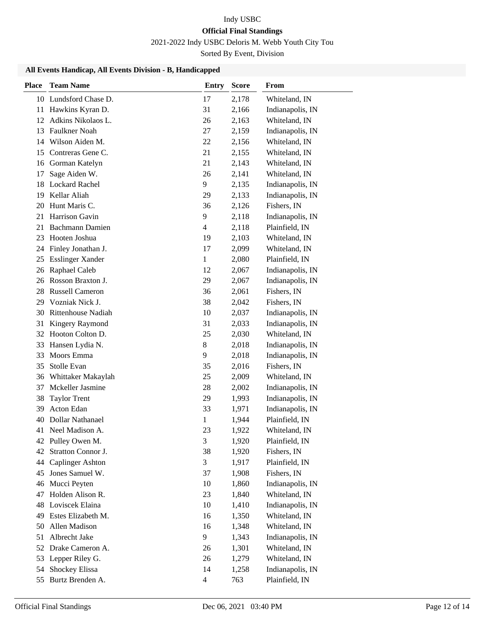2021-2022 Indy USBC Deloris M. Webb Youth City Tou

Sorted By Event, Division

### **All Events Handicap, All Events Division - B, Handicapped**

| <b>Place</b> | <b>Team Name</b>          | <b>Entry</b>   | <b>Score</b> | From             |
|--------------|---------------------------|----------------|--------------|------------------|
| 10           | Lundsford Chase D.        | 17             | 2,178        | Whiteland, IN    |
| 11           | Hawkins Kyran D.          | 31             | 2,166        | Indianapolis, IN |
| 12           | Adkins Nikolaos L.        | 26             | 2,163        | Whiteland, IN    |
| 13           | Faulkner Noah             | 27             | 2,159        | Indianapolis, IN |
| 14           | Wilson Aiden M.           | 22             | 2,156        | Whiteland, IN    |
| 15           | Contreras Gene C.         | 21             | 2,155        | Whiteland, IN    |
| 16           | Gorman Katelyn            | 21             | 2,143        | Whiteland, IN    |
| 17           | Sage Aiden W.             | 26             | 2,141        | Whiteland, IN    |
| 18           | <b>Lockard Rachel</b>     | 9              | 2,135        | Indianapolis, IN |
| 19           | Kellar Aliah              | 29             | 2,133        | Indianapolis, IN |
| 20           | Hunt Maris C.             | 36             | 2,126        | Fishers, IN      |
| 21           | Harrison Gavin            | 9              | 2,118        | Indianapolis, IN |
| 21           | <b>Bachmann Damien</b>    | 4              | 2,118        | Plainfield, IN   |
| 23           | Hooten Joshua             | 19             | 2,103        | Whiteland, IN    |
| 24           | Finley Jonathan J.        | 17             | 2,099        | Whiteland, IN    |
| 25           | <b>Esslinger Xander</b>   | 1              | 2,080        | Plainfield, IN   |
| 26           | Raphael Caleb             | 12             | 2,067        | Indianapolis, IN |
| 26           | Rosson Braxton J.         | 29             | 2,067        | Indianapolis, IN |
| 28           | <b>Russell Cameron</b>    | 36             | 2,061        | Fishers, IN      |
| 29           | Vozniak Nick J.           | 38             | 2,042        | Fishers, IN      |
| 30           | <b>Rittenhouse Nadiah</b> | 10             | 2,037        | Indianapolis, IN |
| 31           | Kingery Raymond           | 31             | 2,033        | Indianapolis, IN |
| 32           | Hooton Colton D.          | 25             | 2,030        | Whiteland, IN    |
| 33           | Hansen Lydia N.           | 8              | 2,018        | Indianapolis, IN |
| 33           | Moors Emma                | 9              | 2,018        | Indianapolis, IN |
| 35           | Stolle Evan               | 35             | 2,016        | Fishers, IN      |
| 36           | Whittaker Makaylah        | 25             | 2,009        | Whiteland, IN    |
| 37           | Mckeller Jasmine          | 28             | 2,002        | Indianapolis, IN |
| 38           | <b>Taylor Trent</b>       | 29             | 1,993        | Indianapolis, IN |
| 39           | Acton Edan                | 33             | 1,971        | Indianapolis, IN |
| 40           | Dollar Nathanael          | 1              | 1,944        | Plainfield, IN   |
| 41           | Neel Madison A.           | 23             | 1,922        | Whiteland, IN    |
|              | 42 Pulley Owen M.         | 3              | 1,920        | Plainfield, IN   |
| 42           | Stratton Connor J.        | 38             | 1,920        | Fishers, IN      |
| 44           | <b>Caplinger Ashton</b>   | 3              | 1,917        | Plainfield, IN   |
| 45           | Jones Samuel W.           | 37             | 1,908        | Fishers, IN      |
| 46           | Mucci Peyten              | 10             | 1,860        | Indianapolis, IN |
| 47           | Holden Alison R.          | 23             | 1,840        | Whiteland, IN    |
| 48           | Loviscek Elaina           | 10             | 1,410        | Indianapolis, IN |
| 49           | Estes Elizabeth M.        | 16             | 1,350        | Whiteland, IN    |
| 50           | Allen Madison             | 16             | 1,348        | Whiteland, IN    |
| 51           | Albrecht Jake             | 9              | 1,343        | Indianapolis, IN |
| 52           | Drake Cameron A.          | 26             | 1,301        | Whiteland, IN    |
| 53           | Lepper Riley G.           | 26             | 1,279        | Whiteland, IN    |
| 54           | Shockey Elissa            | 14             | 1,258        | Indianapolis, IN |
| 55           | Burtz Brenden A.          | $\overline{4}$ | 763          | Plainfield, IN   |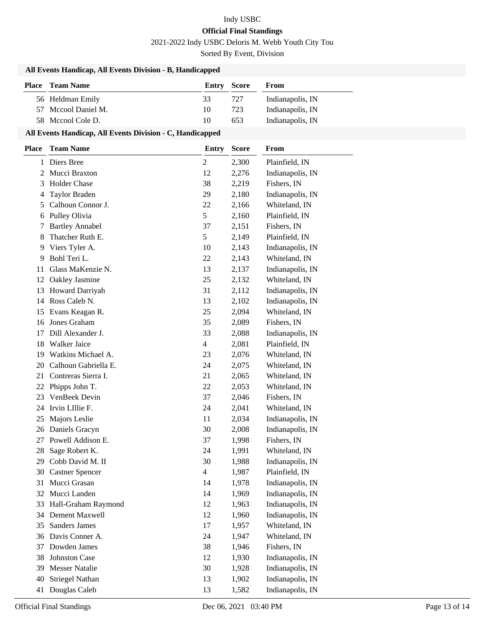2021-2022 Indy USBC Deloris M. Webb Youth City Tou

Sorted By Event, Division

## **All Events Handicap, All Events Division - B, Handicapped**

| Place | Team Name           |    | <b>Entry Score</b> | From             |
|-------|---------------------|----|--------------------|------------------|
|       | 56 Heldman Emily    | 33 | 727                | Indianapolis, IN |
|       | 57 Mccool Daniel M. | 10 | 723                | Indianapolis, IN |
|       | 58 Mccool Cole D.   | 10 | 653                | Indianapolis, IN |

#### **All Events Handicap, All Events Division - C, Handicapped**

| <b>Place</b> | <b>Team Name</b>       | <b>Entry</b>   | <b>Score</b> | From             |  |
|--------------|------------------------|----------------|--------------|------------------|--|
| $\mathbf{1}$ | Diers Bree             | $\overline{2}$ | 2,300        | Plainfield, IN   |  |
| 2            | Mucci Braxton          | 12             | 2,276        | Indianapolis, IN |  |
| 3            | Holder Chase           | 38             | 2,219        | Fishers, IN      |  |
| 4            | Taylor Braden          | 29             | 2,180        | Indianapolis, IN |  |
| 5            | Calhoun Connor J.      | 22             | 2,166        | Whiteland, IN    |  |
| 6            | Pulley Olivia          | 5              | 2,160        | Plainfield, IN   |  |
| 7            | <b>Bartley Annabel</b> | 37             | 2,151        | Fishers, IN      |  |
| 8            | Thatcher Ruth E.       | 5              | 2,149        | Plainfield, IN   |  |
| 9            | Viers Tyler A.         | 10             | 2,143        | Indianapolis, IN |  |
| 9            | Bohl Teri L.           | 22             | 2,143        | Whiteland, IN    |  |
| 11           | Glass MaKenzie N.      | 13             | 2,137        | Indianapolis, IN |  |
| 12           | Oakley Jasmine         | 25             | 2,132        | Whiteland, IN    |  |
| 13           | Howard Darriyah        | 31             | 2,112        | Indianapolis, IN |  |
| 14           | Ross Caleb N.          | 13             | 2,102        | Indianapolis, IN |  |
| 15           | Evans Keagan R.        | 25             | 2,094        | Whiteland, IN    |  |
| 16           | Jones Graham           | 35             | 2,089        | Fishers, IN      |  |
| 17           | Dill Alexander J.      | 33             | 2,088        | Indianapolis, IN |  |
| 18           | Walker Jaice           | $\overline{4}$ | 2,081        | Plainfield, IN   |  |
| 19           | Watkins Michael A.     | 23             | 2,076        | Whiteland, IN    |  |
| 20           | Calhoun Gabriella E.   | 24             | 2,075        | Whiteland, IN    |  |
| 21           | Contreras Sierra I.    | 21             | 2,065        | Whiteland, IN    |  |
| 22           | Phipps John T.         | 22             | 2,053        | Whiteland, IN    |  |
| 23           | VenBeek Devin          | 37             | 2,046        | Fishers, IN      |  |
| 24           | Irvin LIllie F.        | 24             | 2,041        | Whiteland, IN    |  |
| 25           | Majors Leslie          | 11             | 2,034        | Indianapolis, IN |  |
| 26           | Daniels Gracyn         | 30             | 2,008        | Indianapolis, IN |  |
| 27           | Powell Addison E.      | 37             | 1,998        | Fishers, IN      |  |
| 28           | Sage Robert K.         | 24             | 1,991        | Whiteland, IN    |  |
| 29           | Cobb David M. II       | 30             | 1,988        | Indianapolis, IN |  |
| 30           | <b>Castner Spencer</b> | $\overline{4}$ | 1,987        | Plainfield, IN   |  |
| 31           | Mucci Grasan           | 14             | 1,978        | Indianapolis, IN |  |
| 32           | Mucci Landen           | 14             | 1,969        | Indianapolis, IN |  |
|              | 33 Hall-Graham Raymond | 12             | 1,963        | Indianapolis, IN |  |
| 34           | Dement Maxwell         | 12             | 1,960        | Indianapolis, IN |  |
| 35           | Sanders James          | 17             | 1,957        | Whiteland, IN    |  |
| 36           | Davis Conner A.        | 24             | 1,947        | Whiteland, IN    |  |
| 37           | Dowden James           | 38             | 1,946        | Fishers, IN      |  |
| 38           | Johnston Case          | 12             | 1,930        | Indianapolis, IN |  |
| 39           | <b>Messer Natalie</b>  | 30             | 1,928        | Indianapolis, IN |  |
| 40           | <b>Striegel Nathan</b> | 13             | 1,902        | Indianapolis, IN |  |
| 41           | Douglas Caleb          | 13             | 1,582        | Indianapolis, IN |  |